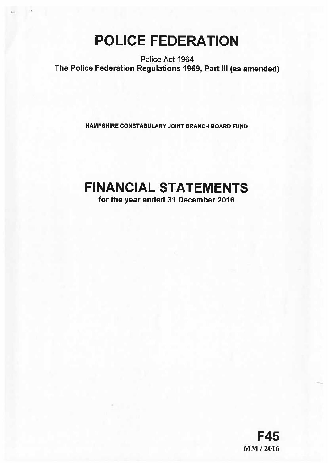# POLICE FEDERATION

Police Act 1964 The Police Federation Regulations 1969, Part Ill (as amended)

HAMPSHIRE CONSTABULARY JOINT BRANCH BOARD FUND

# FINANCIAL STATEMENTS

for the year ended 31 December 2016

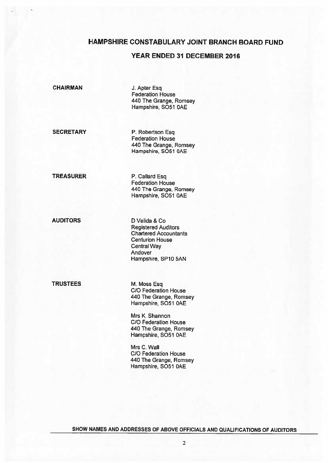# HAMPSHIRE CONSTABULARY JOINT BRANCH BOARD FUND

# YEAR ENDED 31 DECEMBER 2016

CHAIRMAN J. Apter Esq

Federation House 440 The Grange, Romsey Hampshire, S051 OAE

SECRETARY P. Robertson Esq. Federation House 440 The Grange, Romsey Hampshire, 5051 OAE

TREASURER P. Callard Esq Federation House 440 The Grange, Romsey Hampshire, SO51 0AE

AUDITORS D Velida & Co Registered Auditors Chartered Accountants Centurion House Central Way Andover Hampshire, SP1O 5AM

TRUSTEES M. Moss Esq.

C/C Federation House 440 The Grange, Romsey Hampshire, 5051 OAE

Mrs K. Shannon C/C Federation House 440 The Grange, Romsey Hampshire, SO51 0AE

Mrs C. Wall C/C Federation House 440 The Grange, Romsey Hampshire, S051 OAE

SHOW NAMES AND ADDRESSES OF ABOVE OFFICIALS AND QUALIFICATIONS OF AUDITORS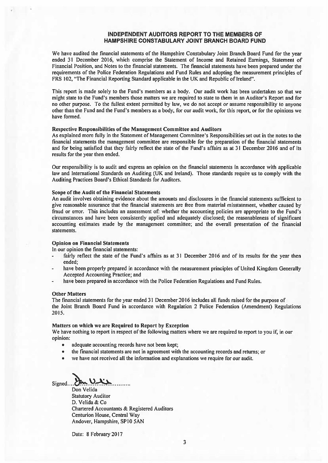### INDEPENDENT AUDITORS REPORT TO THE MEMBERS OF HAMPSHIRE CONSTABULARY JOINT BRANCH BOARD FUND

We have audited the financial statements of the Hampshire Constabulary Joint Branch Board Fund for the year ended 31 December 2016, which comprise the Statement of Income and Retained Earnings, Statement of Financial Position, and Notes to the financial statements. The financial statements have been prepared under the requirements of the Police Federation Regulations and Fund Rules and adopting the measurement principles of FRS 102, "The Financial Reporting Standard applicable in the UK and Republic of Ireland".

This repor<sup>t</sup> is made solely to the Fund's members as <sup>a</sup> body. Our audit work has been undertaken so that we might state to the Fund's members those matters we are required to state to them in an Auditor's Report and for no other purpose. To the fullest extent permitted by law, we do not accep<sup>t</sup> or assume responsibility to anyone other than the Fund and the Fund's members as <sup>a</sup> body, for our audit work, for this report, or for the opinions we have formed.

### Respective Responsibilities of the Management Committee and Auditors

As explained more fully in the Statement of Management Committee's Responsibilities set out in the notes to the financial statements the managemen<sup>t</sup> committee are responsible for the preparation of the financial statements and for being satisfied that they fairly reflect the state of the Fund's affairs as at 31 December 2016 and of its results for the year then ended.

Our responsibility is to audit and express an opinion on the financial statements in accordance with applicable law and International Standards on Auditing (UK and Ireland). Those standards require us to comply with the Auditing Practices Board's Ethical Standards for Auditors.

### Scope of the Audit of the Financial Statements

An audit involves obtaining evidence about the amounts and disclosures in the financial statements sufficient to give reasonable assurance that the financial statements are free from material misstatement, whether caused by fraud or error. This includes an assessment of: whether the accounting policies are appropriate to the Fund's circumstances and have been consistently applied and adequately disclosed; the reasonableness of significant accounting estimates made by the managemen<sup>t</sup> committee; and the overall presentation of the financial statements.

### Opinion on Financial Statements

In our opinion the financial statements:

- fairly reflect the state of the Fund's affairs as at 31 December 2016 and of its results for the year then ended;
- have been properly prepared in accordance with the measurement principles of United Kingdom Generally Accepted Accounting Practice; and
- have been prepared in accordance with the Police Federation Regulations and Fund Rules.

### Other Matters

The financial statements for the year ended 31 December 2016 includes all funds raised for the purpose of the Joint Branch Board Fund in accordance with Regulation 2 Police Federation (Amendment) Regulations 2015.

### Matters on which we are Required to Report by Exception

We have nothing to repor<sup>t</sup> in respec<sup>t</sup> of the following matters where we are required to repor<sup>t</sup> to you if, in our opinion:

- •adequate accounting records have not been kept;
- •the financial statements are not in agreemen<sup>t</sup> with the accounting records and returns; or
- •we have not received all the information and explanations we require for our audit.

 $Signed$ ... Ulle

Don Velida Statutory Auditor D. Velida & Co Chartered Accountants & Registered Auditors Centurion House, Central Way Andover, Hampshire, SP10 5AN

Date: 8 February 2017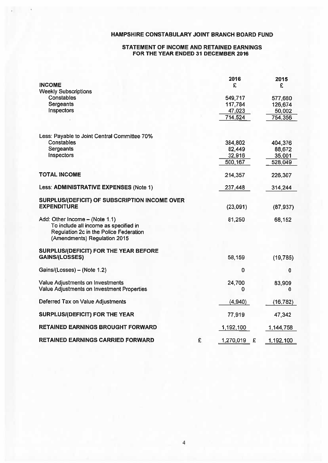# HAMPSHIRE CONSTABULARY JOINT BRANCH BOARD FUND

# STATEMENT OF INCOME AND RETAINED EARNINGS FOR THE YEAR ENDED 31 DECEMBER 2016

|                                                                                                                                                   |   | 2016               | 2015               |
|---------------------------------------------------------------------------------------------------------------------------------------------------|---|--------------------|--------------------|
| <b>INCOME</b>                                                                                                                                     |   | £                  | £                  |
| <b>Weekly Subscriptions</b><br><b>Constables</b>                                                                                                  |   |                    |                    |
| Sergeants                                                                                                                                         |   | 549,717<br>117,784 | 577,680<br>126,674 |
| Inspectors                                                                                                                                        |   | 47,023             | 50,002             |
|                                                                                                                                                   |   | 714,524            | 754,356            |
| Less: Payable to Joint Central Committee 70%                                                                                                      |   |                    |                    |
| Constables                                                                                                                                        |   | 384,802            | 404,376            |
| <b>Sergeants</b>                                                                                                                                  |   | 82,449             | 88,672             |
| Inspectors                                                                                                                                        |   | 32,916             | 35,001             |
|                                                                                                                                                   |   | 500,167            | 528,049            |
| <b>TOTAL INCOME</b>                                                                                                                               |   | 214,357            | 226,307            |
| Less: ADMINISTRATIVE EXPENSES (Note 1)                                                                                                            |   | 237,448            | 314,244            |
| SURPLUS/(DEFICIT) OF SUBSCRIPTION INCOME OVER                                                                                                     |   |                    |                    |
| <b>EXPENDITURE</b>                                                                                                                                |   | (23,091)           | (87, 937)          |
| Add: Other Income - (Note 1.1)<br>To include all income as specified in<br>Regulation 2c in the Police Federation<br>(Amendments) Regulation 2015 |   | 81,250             | 68,152             |
| SURPLUS/(DEFICIT) FOR THE YEAR BEFORE                                                                                                             |   |                    |                    |
| <b>GAINS/(LOSSES)</b>                                                                                                                             |   | 58,159             | (19, 785)          |
| Gains/(Losses) - (Note 1.2)                                                                                                                       |   | $\bf{0}$           | 0                  |
| Value Adjustments on Investments                                                                                                                  |   | 24,700             | 83,909             |
| Value Adjustments on Investment Properties                                                                                                        |   | 0                  | 0                  |
| Deferred Tax on Value Adjustments                                                                                                                 |   | (4,940)            | (16, 782)          |
| SURPLUS/(DEFICIT) FOR THE YEAR                                                                                                                    |   | 77,919             | 47,342             |
| <b>RETAINED EARNINGS BROUGHT FORWARD</b>                                                                                                          |   | 1,192,100          | 1,144,758          |
| <b>RETAINED EARNINGS CARRIED FORWARD</b>                                                                                                          | £ | £<br>1,270,019     | 1,192,100          |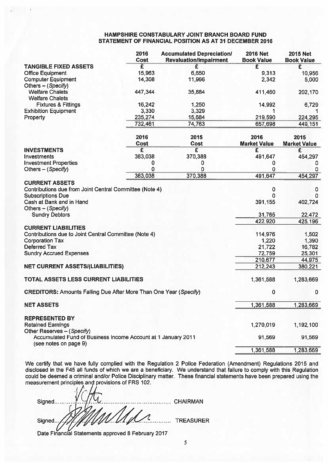# HAMPSHIRE CONSTABULARY JOINT BRANCH BOARD FUND STATEMENT OF FINANCIAL POSITION AS AT 31 DECEMBER 2016

|                                                                                        | 2016<br>Cost | <b>Accumulated Depreciation/</b><br><b>Revaluation/Impairment</b> | <b>2016 Net</b><br><b>Book Value</b> | <b>2015 Net</b><br><b>Book Value</b> |
|----------------------------------------------------------------------------------------|--------------|-------------------------------------------------------------------|--------------------------------------|--------------------------------------|
| <b>TANGIBLE FIXED ASSETS</b>                                                           | £            | £                                                                 | £                                    | £                                    |
| <b>Office Equipment</b>                                                                | 15,963       | 6,650                                                             | 9,313                                | 10,956                               |
| <b>Computer Equipment</b><br>Others - (Specify)                                        | 14,308       | 11,966                                                            | 2,342                                | 5,000                                |
| <b>Welfare Chalets</b><br><b>Welfare Chalets</b>                                       | 447,344      | 35,884                                                            | 411,460                              | 202,170                              |
| <b>Fixtures &amp; Fittings</b>                                                         | 16,242       | 1,250                                                             | 14,992                               | 6,729                                |
| <b>Exhibition Equipment</b>                                                            | 3,330        | 3,329                                                             |                                      |                                      |
| Property                                                                               | 235,274      | 15,684                                                            | 219,590                              | 224,295                              |
|                                                                                        | 732,461      | 74,763                                                            | 657,698                              | 449,151                              |
|                                                                                        | 2016<br>Cost | 2015<br><b>Cost</b>                                               | 2016<br><b>Market Value</b>          | 2015<br><b>Market Value</b>          |
| <b>INVESTMENTS</b>                                                                     | E            | $\overline{\mathbf{f}}$                                           | $\overline{\mathbf{f}}$              | £                                    |
| Investments                                                                            | 383,038      | 370,388                                                           | 491,647                              | 454,297                              |
| <b>Investment Properties</b>                                                           | 0            | 0                                                                 | 0                                    | 0                                    |
| Others - (Specify)                                                                     | 0            | 0                                                                 | 0                                    | 0                                    |
|                                                                                        | 383,038      | 370,388                                                           | 491,647                              | 454,297                              |
| <b>CURRENT ASSETS</b>                                                                  |              |                                                                   |                                      |                                      |
| Contributions due from Joint Central Committee (Note 4)                                |              |                                                                   | $\mathbf 0$                          | 0                                    |
| <b>Subscriptions Due</b>                                                               |              |                                                                   | O                                    | 0                                    |
| Cash at Bank and in Hand                                                               |              |                                                                   | 391,155                              | 402,724                              |
| Others - (Specify)                                                                     |              |                                                                   |                                      |                                      |
| <b>Sundry Debtors</b>                                                                  |              |                                                                   | 31,765                               | 22,472                               |
| <b>CURRENT LIABIILITIES</b>                                                            |              |                                                                   | 422,920                              | 425,196                              |
| Contributions due to Joint Central Committee (Note 4)                                  |              |                                                                   | 114,976                              | 1,502                                |
| <b>Corporation Tax</b>                                                                 |              |                                                                   | 1,220                                | 1,390                                |
| <b>Deferred Tax</b>                                                                    |              |                                                                   | 21,722                               | 16,782                               |
| <b>Sundry Accrued Expenses</b>                                                         |              |                                                                   | 72,759                               | 25,301                               |
|                                                                                        |              |                                                                   | 210,677                              | 44,975                               |
| <b>NET CURRENT ASSETS/(LIABILITIES)</b>                                                |              |                                                                   | 212,243                              | 380,221                              |
| <b>TOTAL ASSETS LESS CURRENT LIABILITIES</b>                                           |              |                                                                   | 1,361,588                            | 1,283,669                            |
| <b>CREDITORS: Amounts Falling Due After More Than One Year (Specify)</b>               |              |                                                                   | 0                                    | 0                                    |
| <b>NET ASSETS</b>                                                                      |              |                                                                   | 1,361,588                            | 1,283,669                            |
|                                                                                        |              |                                                                   |                                      |                                      |
| <b>REPRESENTED BY</b><br><b>Retained Earnings</b><br>Other Reserves - (Specify)        |              |                                                                   | 1,270,019                            | 1,192,100                            |
| Accumulated Fund of Business Income Account at 1 January 2011<br>(see notes on page 9) |              |                                                                   | 91,569                               | 91,569                               |
|                                                                                        |              |                                                                   | 1,361,588                            | 1,283,669                            |
|                                                                                        |              |                                                                   |                                      |                                      |

We certify that we have fully complied with the Regulation 2 Police Federation (Amendment) Regulations 2015 and We understand that failure to comply with this Regulation These financial statements have been prepared using the disclosed in the F45 all funds of which we are <sup>a</sup> beneficiary. could be deemed <sup>a</sup> criminal and/or Police Disciplinary matter. measurement principles and provisions of FRS 102.

| Signed                                                       | <b>CHAIRMAN</b> |
|--------------------------------------------------------------|-----------------|
| WUN                                                          |                 |
| Signed<br>Date Financial Statements approved 8 February 2017 | TREASURER       |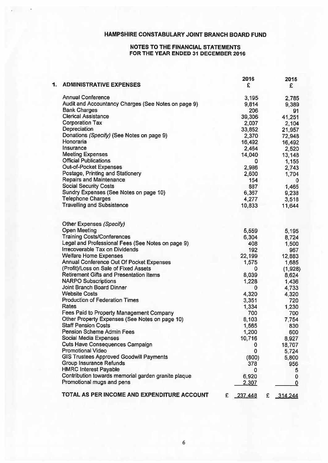# HAMPSHIRE CONSTABULARY JOINT BRANCH BOARD FUND

# NOTES TO THE FINANCIAL STATEMENTS FOR THE YEAR ENDED 31 DECEMBER 2016

| 1. | <b>ADMINISTRATIVE EXPENSES</b>                      | 2016<br>£         | 2015<br>£ |
|----|-----------------------------------------------------|-------------------|-----------|
|    | <b>Annual Conference</b>                            | 3,195             | 2,785     |
|    | Audit and Accountancy Charges (See Notes on page 9) | 9,814             | 9,389     |
|    | <b>Bank Charges</b>                                 | 206               | 91        |
|    | <b>Clerical Assistance</b>                          | 39,306            | 41,251    |
|    | <b>Corporation Tax</b>                              | 2,007             | 2,104     |
|    | Depreciation                                        |                   |           |
|    | Donations (Specify) (See Notes on page 9)           | 33,852            | 21,957    |
|    | Honoraria                                           | 2,370             | 72,948    |
|    | Insurance                                           | 16,492            | 16,492    |
|    | <b>Meeting Expenses</b>                             | 2,464             | 2,520     |
|    | <b>Official Publications</b>                        | 14,040            | 13,148    |
|    |                                                     | 0                 | 1,155     |
|    | Out-of-Pocket Expenses                              | 2,986             | 2,743     |
|    | Postage, Printing and Stationery                    | 2,600             | 1,704     |
|    | <b>Repairs and Maintenance</b>                      | 154               | o         |
|    | <b>Social Security Costs</b>                        | 887               | 1,465     |
|    | Sundry Expenses (See Notes on page 10)              | 6,367             | 9,238     |
|    | <b>Telephone Charges</b>                            | 4,277             | 3,518     |
|    | <b>Travelling and Subsistence</b>                   | 10,833            | 11,644    |
|    | Other Expenses (Specify)                            |                   |           |
|    | <b>Open Meeting</b>                                 | 5,559             | 5,195     |
|    | <b>Training Costs/Conferences</b>                   | 6,304             | 8,724     |
|    | Legal and Professional Fees (See Notes on page 9)   | 408               | 1,500     |
|    | Irrecoverable Tax on Dividends                      | 192               | 967       |
|    | <b>Welfare Home Expenses</b>                        | 22,199            | 12,883    |
|    | Annual Conference Out Of Pocket Expenses            | 1,575             | 1,685     |
|    | (Profit)/Loss on Sale of Fixed Assets               | 0                 | (1,928)   |
|    | <b>Retirement Gifts and Presentation Items</b>      | 8,039             | 8,624     |
|    | <b>NARPO Subscriptions</b>                          | 1,228             | 1,436     |
|    | <b>Joint Branch Board Dinner</b>                    | 0                 | 4,733     |
|    | <b>Website Costs</b>                                | 4,320             | 4,320     |
|    | <b>Production of Federation Times</b>               | 3,351             | 720       |
|    | Rates                                               | 1,334             | 1,230     |
|    | Fees Paid to Property Management Company            | 700               | 700       |
|    | Other Property Expenses (See Notes on page 10)      | 8,103             | 7,754     |
|    | Staff Pension Costs                                 | 1,565             | 830       |
|    | <b>Pension Scheme Admin Fees</b>                    | 1,200             | 600       |
|    | <b>Social Media Expenses</b>                        | 10,716            | 8,927     |
|    | <b>Cuts Have Consequences Campaign</b>              | 0                 | 18,707    |
|    | Promotional Video                                   | 0                 | 5,724     |
|    | <b>GIS Trustees Approved Goodwill Payments</b>      | (800)             | 5,800     |
|    | <b>Group Insurance Refunds</b>                      | 378               | 956       |
|    | <b>HMRC Interest Payable</b>                        | 0                 | 5         |
|    | Contribution towards memorial garden granite plaque | 6,920             | 0         |
|    | Promotional mugs and pens                           | 2,307             | 0         |
|    | TOTAL AS PER INCOME AND EXPENDITURE ACCOUNT         | 237,448<br>£<br>£ | 314,244   |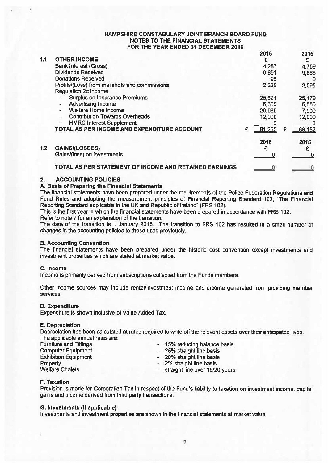|     |                                                                       |   | 2016   |   | 2015   |
|-----|-----------------------------------------------------------------------|---|--------|---|--------|
| 1.1 | <b>OTHER INCOME</b>                                                   |   | £      |   | £      |
|     | <b>Bank Interest (Gross)</b>                                          |   | 4,287  |   | 4,759  |
|     | <b>Dividends Received</b>                                             |   | 9,691  |   | 9,666  |
|     | <b>Donations Received</b>                                             |   | 96     |   | 0      |
|     | Profits/(Loss) from mailshots and commissions<br>Regulation 2c income |   | 2,325  |   | 2,095  |
|     | <b>Surplus on Insurance Premiums</b>                                  |   | 25,621 |   | 25,179 |
|     | <b>Advertising Income</b><br>$\overline{\phantom{a}}$                 |   | 6,300  |   | 6,550  |
|     | Welfare Home Income                                                   |   | 20,930 |   | 7,900  |
|     | <b>Contribution Towards Overheads</b>                                 |   | 12,000 |   | 12,000 |
|     | <b>HMRC Interest Supplement</b>                                       |   |        |   |        |
|     | TOTAL AS PER INCOME AND EXPENDITURE ACCOUNT                           | £ | 81.250 | £ | 68,152 |
|     |                                                                       |   | 2016   |   | 2015   |
| 1.2 | <b>GAINS/(LOSSES)</b>                                                 |   |        |   | £      |
|     | Gains/(loss) on investments                                           |   |        |   | O      |
|     | TOTAL AS PER STATEMENT OF INCOME AND RETAINED EARNINGS                |   |        |   |        |

## 2. ACCOUNTING POLICIES

# A. Basis of Preparing the Financial Statements

The financial statements have been prepared under the requirements of the Police Federation Regulations and Fund Rules and adopting the measurement principles of Financial Reporting Standard 102, "The Financial Reporting Standard applicable in the UK and Republic of Ireland" (FRS 102).

This is the first year in which the financial statements have been prepared in accordance with FRS 102. Refer to note 7 for an explanation of the transition.

The date of the transition is 1 January 2015. The transition to FRS 102 has resulted in <sup>a</sup> small number of changes in the accounting policies to those used previously.

## B. Accounting Convention

The financial statements have been prepared under the historic cost convention excep<sup>t</sup> investments and investment properties which are stated at market value.

## C. Income

Income is primarily derived from subscriptions collected from the Funds members.

Other income sources may include rental/investment income and income generated from providing member services.

# D. Expenditure

Expenditure is shown inclusive of Value Added Tax.

## E. Depreciation

Depreciation has been calculated at rates required to write off the relevant assets over their anticipated lives. The applicable annual rates are:

| <b>Furniture and Fittings</b> | - 15% reducing balance basis     |
|-------------------------------|----------------------------------|
| <b>Computer Equipment</b>     | - 25% straight line basis        |
| <b>Exhibition Equipment</b>   | - 20% straight line basis        |
| Property                      | - 2% straight line basis         |
| <b>Welfare Chalets</b>        | - straight line over 15/20 years |
|                               |                                  |

# F. Taxation

Provision is made for Corporation Tax in respec<sup>t</sup> of the Fund's liability to taxation on investment income, capital gains and income derived from third party transactions.

# G. Investments (if applicable)

Investments and investment properties are shown in the financial statements at market value.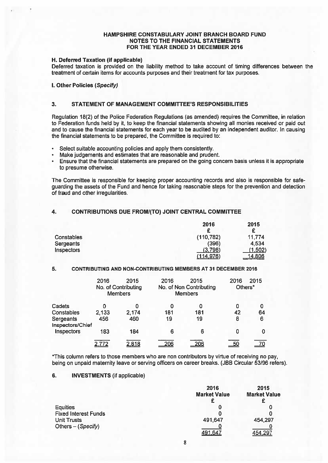### H. Deferred Taxation (if applicable)

Deferred taxation is provided on the liability method to take account of timing differences between the treatment of certain items for accounts purposes and their treatment for tax purposes.

I. Other Policies (Specify)

### 3. STATEMENT OF MANAGEMENT COMMITTEE'S RESPONSIBILITIES

Regulation 18(2) of the Police Federation Regulations (as amended) requires the Committee, in relation to Federation funds held by it, to keep the financial statements showing all monies received or paid out and to cause the financial statements for each year to be audited by an independent auditor. In causing the financial statements to be prepared, the Committee is required to:

- Select suitable accounting policies and apply them consistently.
- •Make judgements and estimates that are reasonable and prudent.
- • Ensure that the financial statements are prepared on the going concern basis unless it is appropriate to presume otherwise.

The Committee is responsible for keeping proper accounting records and also is responsible for safe guarding the assets of the Fund and hence for taking reasonable steps for the prevention and detection of fraud and other irregularities.

## 4. CONTRIBUTIONS DUE FROMI(TO) JOINT CENTRAL COMMITTEE

|                                       | 2016<br>c            | 2015<br>c         |
|---------------------------------------|----------------------|-------------------|
| <b>Constables</b><br><b>Sergeants</b> | (110, 782)<br>(396)  | 11,774<br>4,534   |
| Inspectors                            | (3,798)<br>(114.976) | (1,502)<br>14.806 |

### 5. CONTRIBUTING AND NON-CONTRIBUTING MEMBERS AT 31 DECEMBER 2016

|                               | 2016  | 2015<br>No. of Contributing<br><b>Members</b> | 2016 | 2015<br>No. of Non Contributing<br><b>Members</b> | 2016<br>Others* | 2015 |
|-------------------------------|-------|-----------------------------------------------|------|---------------------------------------------------|-----------------|------|
| Cadets                        |       | O                                             | 0    |                                                   | 0               | 0    |
| <b>Constables</b>             | 2,133 | 2,174                                         | 181  | 181                                               | 42              | 64   |
| Sergeants<br>Inspectors/Chief | 456   | 460                                           | 19   | 19                                                | 8               | 6    |
| Inspectors                    | 183   | 184                                           | 6    | 6                                                 | 0               | 0    |
|                               |       | 2,818                                         | 206  |                                                   |                 |      |

\*This column refers to those members who are non contributors by virtue of receiving no pay, being on unpaid maternity leave or serving officers on career breaks. (JBB Circular 53/96 refers).

# 6. INVESTMENTS (if applicable)

|                             | 2016<br><b>Market Value</b> | 2015<br><b>Market Value</b><br>£ |
|-----------------------------|-----------------------------|----------------------------------|
| <b>Equities</b>             |                             |                                  |
| <b>Fixed Interest Funds</b> |                             |                                  |
| <b>Unit Trusts</b>          | 491,647                     | 454,297                          |
| Others - (Specify)          |                             |                                  |
|                             | 491.641                     | 454 297                          |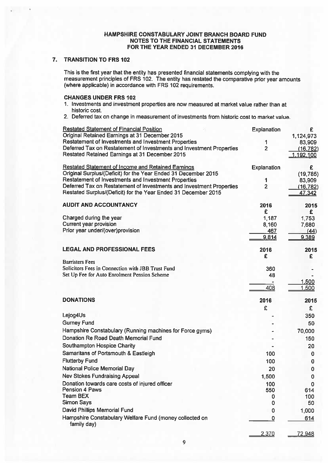# 7. TRANSITION TO FRS 102

This is the first year that the entity has presented financial statements complying with the measurement principles of FRS 102. The entity has restated the comparative prior year amounts (where applicable) in accordance with FRS 102 requirements.

### CHANGES UNDER FRS 102

- 1. Investments and investment properties are now measured at market value rather than at historic cost.
- 2. Deferred tax on change in measurement of investments from historic cost to market value.

| <b>Restated Statement of Financial Position</b><br>Original Retained Earnings at 31 December 2015                                      | Explanation             | £                   |
|----------------------------------------------------------------------------------------------------------------------------------------|-------------------------|---------------------|
| Restatement of Investments and Investment Properties                                                                                   | 1                       | 1,124,973<br>83,909 |
| Deferred Tax on Restatement of Investments and Investment Properties                                                                   | $\overline{2}$          | (16, 782)           |
| Restated Retained Earnings at 31 December 2015                                                                                         |                         | 1,192,100           |
| <b>Restated Statement of Income and Retained Earnings</b>                                                                              | <b>Explanation</b>      | £                   |
| Original Surplus/(Deficit) for the Year Ended 31 December 2015                                                                         |                         | (19, 785)           |
| Restatement of Investments and Investment Properties                                                                                   | 1                       | 83,909              |
| Deferred Tax on Restatement of Investments and Investment Properties<br>Restated Surplus/(Deficit) for the Year Ended 31 December 2015 | $\overline{2}$          | (16, 782)<br>47,342 |
| <b>AUDIT AND ACCOUNTANCY</b>                                                                                                           | 2016                    | 2015                |
|                                                                                                                                        | £                       | £                   |
| Charged during the year                                                                                                                | 1,187                   | 1,753               |
| <b>Current year provision</b>                                                                                                          | 8,160                   | 7,680               |
| Prior year under/(over)provision                                                                                                       | 467                     | (44)                |
|                                                                                                                                        | 9,814                   | 9.389               |
| <b>LEGAL AND PROFESSIONAL FEES</b>                                                                                                     | 2016                    | 2015                |
|                                                                                                                                        | £                       | £                   |
| <b>Barristers Fees</b>                                                                                                                 |                         |                     |
| Solicitors Fees in Connection with JBB Trust Fund                                                                                      | 360                     |                     |
| Set Up Fee for Auto Enrolment Pension Scheme                                                                                           | 48                      | 1,500               |
|                                                                                                                                        | 408                     | 1,500               |
| <b>DONATIONS</b>                                                                                                                       | 2016                    | 2015                |
|                                                                                                                                        | £                       | £                   |
| Lejog4Us                                                                                                                               |                         | 350                 |
| <b>Gurney Fund</b>                                                                                                                     |                         | 50                  |
| Hampshire Constabulary (Running machines for Force gyms)                                                                               |                         | 70,000              |
| Donation Re Road Death Memorial Fund                                                                                                   |                         | 150                 |
| <b>Southampton Hospice Charity</b>                                                                                                     |                         | 20                  |
| Samaritans of Portsmouth & Eastleigh                                                                                                   | 100                     | 0                   |
| <b>Flutterby Fund</b>                                                                                                                  | 100                     | 0                   |
| National Police Memorial Day                                                                                                           | 20                      | 0                   |
| <b>Nev Stokes Fundraising Appeal</b>                                                                                                   | 1,500                   | 0                   |
| Donation towards care costs of injured officer                                                                                         | 100                     | 0                   |
| Pension 4 Paws                                                                                                                         | 550                     | 614                 |
| <b>Team BEX</b>                                                                                                                        | 0                       | 100                 |
| <b>Simon Says</b>                                                                                                                      | 0                       | 50                  |
| David Phillips Memorial Fund                                                                                                           | 0                       | 1,000               |
| Hampshire Constabulary Welfare Fund (money collected on                                                                                | $\overline{\mathbf{0}}$ | 614                 |
| family day)                                                                                                                            | 2,370                   | 72.948              |
|                                                                                                                                        |                         |                     |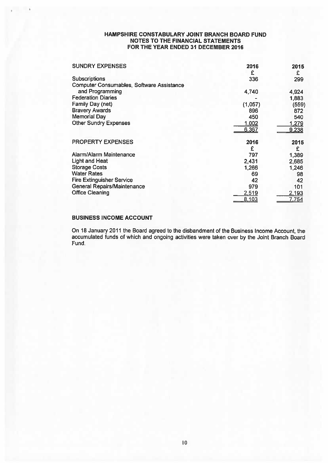| <b>SUNDRY EXPENSES</b>                           | 2016         | 2015  |
|--------------------------------------------------|--------------|-------|
|                                                  | £            | £     |
| <b>Subscriptions</b>                             | 336          | 299   |
| <b>Computer Consumables, Software Assistance</b> |              |       |
| and Programming                                  | 4,740        | 4,924 |
| <b>Federation Diaries</b>                        |              | 1,883 |
| Family Day (net)                                 | (1,057)      | (559) |
| <b>Bravery Awards</b>                            | 896          | 872   |
| <b>Memorial Day</b>                              | 450          | 540   |
| <b>Other Sundry Expenses</b>                     | <u>1,002</u> | 1,279 |
|                                                  | 6,367        | 9,238 |
| <b>PROPERTY EXPENSES</b>                         | 2016         | 2015  |
|                                                  | £            | £     |
| Alarm/Alarm Maintenance                          | 797          | 1,389 |
| <b>Light and Heat</b>                            | 2,431        | 2,685 |
| <b>Storage Costs</b>                             | 1,266        | 1,246 |
| <b>Water Rates</b>                               | 69           | 98    |
| <b>Fire Extinguisher Service</b>                 | 42           | 42    |
| <b>General Repairs/Maintenance</b>               | 979          | 101   |
| <b>Office Cleaning</b>                           | <u>2,519</u> | 2,193 |
|                                                  | 8.103        | 7.754 |

# BUSINESS INCOME ACCOUNT

On 18 January 2011 the Board agreed to the disbandment of the Business Income Account, the accumulated funds of which and ongoing activities were taken over by the Joint Branch Board Fund.